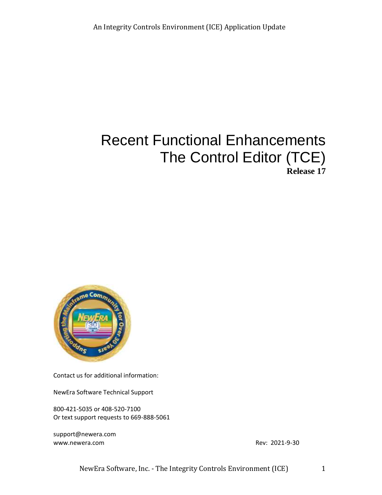# Recent Functional Enhancements The Control Editor (TCE) **Release 17**



Contact us for additional information:

NewEra Software Technical Support

800-421-5035 or 408-520-7100 Or text support requests to 669-888-5061

[support@newera.com](mailto:support@newera.com) [www.newera.com](http://www.newera.com/) **Rev: 2021-9-30** 

NewEra Software, Inc. - The Integrity Controls Environment (ICE) 1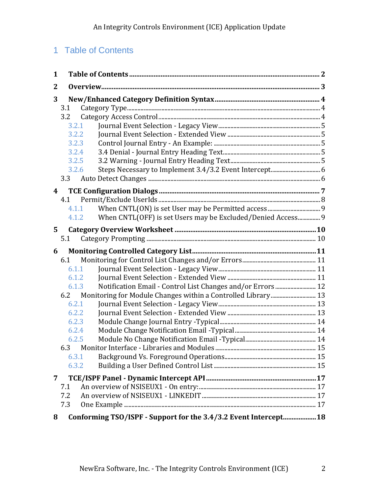## 1 Table of Contents

| 1 |                                                                         |  |
|---|-------------------------------------------------------------------------|--|
| 2 |                                                                         |  |
| 3 | 3.1<br>3.2<br>3.2.1<br>3.2.2<br>3.2.3<br>3.2.4<br>3.2.5<br>3.2.6<br>3.3 |  |
| 4 | 4.1                                                                     |  |
|   | 4.1.1                                                                   |  |
|   | When CNTL(OFF) is set Users may be Excluded/Denied Access 9<br>4.1.2    |  |
| 5 |                                                                         |  |
|   | 5.1                                                                     |  |
|   |                                                                         |  |
|   |                                                                         |  |
| 6 | 6.1                                                                     |  |
|   | 6.1.1                                                                   |  |
|   | 6.1.2                                                                   |  |
|   | Notification Email - Control List Changes and/or Errors  12<br>6.1.3    |  |
|   | 6.2                                                                     |  |
|   | 6.2.1                                                                   |  |
|   | 6.2.2                                                                   |  |
|   | 6.2.3                                                                   |  |
|   | 6.2.4                                                                   |  |
|   | 6.2.5                                                                   |  |
|   |                                                                         |  |
|   | 6.3.1<br>6.3.2                                                          |  |
|   |                                                                         |  |
| 7 | 7.1                                                                     |  |
|   | 7.2                                                                     |  |
|   | 7.3                                                                     |  |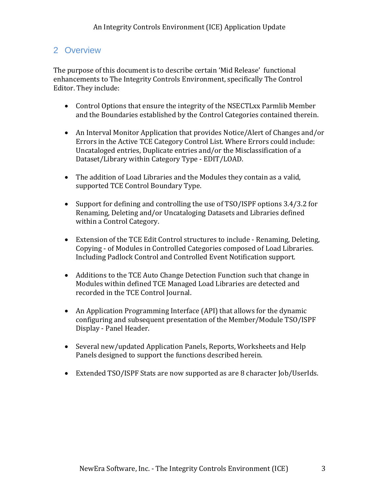## 2 Overview

The purpose of this document is to describe certain 'Mid Release' functional enhancements to The Integrity Controls Environment, specifically The Control Editor. They include:

- Control Options that ensure the integrity of the NSECTLxx Parmlib Member and the Boundaries established by the Control Categories contained therein.
- An Interval Monitor Application that provides Notice/Alert of Changes and/or Errors in the Active TCE Category Control List. Where Errors could include: Uncataloged entries, Duplicate entries and/or the Misclassification of a Dataset/Library within Category Type - EDIT/LOAD.
- The addition of Load Libraries and the Modules they contain as a valid, supported TCE Control Boundary Type.
- Support for defining and controlling the use of TSO/ISPF options 3.4/3.2 for Renaming, Deleting and/or Uncataloging Datasets and Libraries defined within a Control Category.
- Extension of the TCE Edit Control structures to include Renaming, Deleting, Copying - of Modules in Controlled Categories composed of Load Libraries. Including Padlock Control and Controlled Event Notification support.
- Additions to the TCE Auto Change Detection Function such that change in Modules within defined TCE Managed Load Libraries are detected and recorded in the TCE Control Journal.
- An Application Programming Interface (API) that allows for the dynamic configuring and subsequent presentation of the Member/Module TSO/ISPF Display - Panel Header.
- Several new/updated Application Panels, Reports, Worksheets and Help Panels designed to support the functions described herein.
- Extended TSO/ISPF Stats are now supported as are 8 character Job/UserIds.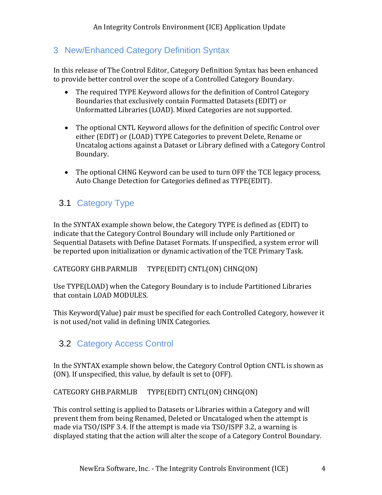## 3 New/Enhanced Category Definition Syntax

In this release of The Control Editor, Category Definition Syntax has been enhanced to provide better control over the scope of a Controlled Category Boundary.

- The required TYPE Keyword allows for the definition of Control Category Boundaries that exclusively contain Formatted Datasets (EDIT) or Unformatted Libraries (LOAD). Mixed Categories are not supported.
- The optional CNTL Keyword allows for the definition of specific Control over either (EDIT) or (LOAD) TYPE Categories to prevent Delete, Rename or Uncatalog actions against a Dataset or Library defined with a Category Control Boundary.
- The optional CHNG Keyword can be used to turn OFF the TCE legacy process, Auto Change Detection for Categories defined as TYPE(EDIT).

## 3.1 Category Type

In the SYNTAX example shown below, the Category TYPE is defined as (EDIT) to indicate that the Category Control Boundary will include only Partitioned or Sequential Datasets with Define Dataset Formats. If unspecified, a system error will be reported upon initialization or dynamic activation of the TCE Primary Task.

CATEGORY GHB.PARMLIB TYPE(EDIT) CNTL(ON) CHNG(ON)

Use TYPE(LOAD) when the Category Boundary is to include Partitioned Libraries that contain LOAD MODULES.

This Keyword(Value) pair must be specified for each Controlled Category, however it is not used/not valid in defining UNIX Categories.

## 3.2 Category Access Control

In the SYNTAX example shown below, the Category Control Option CNTL is shown as (ON). If unspecified, this value, by default is set to (OFF).

CATEGORY GHB.PARMLIB TYPE(EDIT) CNTL(ON) CHNG(ON)

This control setting is applied to Datasets or Libraries within a Category and will prevent them from being Renamed, Deleted or Uncataloged when the attempt is made via TSO/ISPF 3.4. If the attempt is made via TSO/ISPF 3.2, a warning is displayed stating that the action will alter the scope of a Category Control Boundary.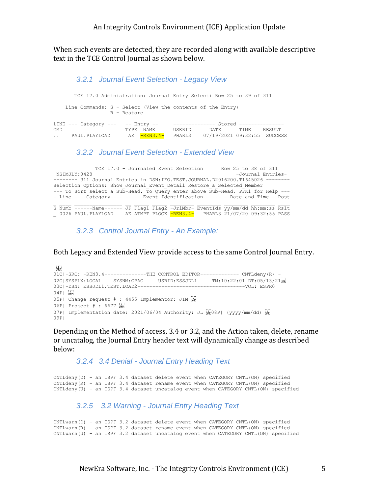When such events are detected, they are recorded along with available descriptive text in the TCE Control Journal as shown below.

#### *3.2.1 Journal Event Selection - Legacy View*

 TCE 17.0 Administration: Journal Entry Selecti Row 25 to 39 of 311 Line Commands: S - Select (View the contents of the Entry) R - Restore LINE --- Category --- -- Entry -- --------------- Stored ---------------CMD TYPE NAME USERID DATE TIME RESULT .. PAUL.PLAYLOAD AE -REN3.4- PHARL3 07/19/2021 09:32:55 SUCCESS

#### *3.2.2 Journal Event Selection - Extended View*

 TCE 17.0 - Journaled Event Selection Row 25 to 38 of 311 NSIMJLY:0428 -Journal Entries- -------- 311 Journal Entries in DSN:IFO.TEST.JOURNAL.D2016200.T1645026 -------- Selection Options: Show Journal Event Detail Restore a Selected Member --- To Sort select a Sub-Head, To Query enter above Sub-Head, PFK1 for Help ---- Line ----Category---- ------Event Identification------ --Date and Time-- Post S Numb ------Name------ JF Flag1 Flag2 -JrlMbr- EventIds yy/mm/dd hh:mm:ss Rslt 0026 PAUL.PLAYLOAD AE ATMPT PLOCK -REN3.4- PHARL3 21/07/20 09:32:55 PASS

*3.2.3 Control Journal Entry - An Example:*

Both Legacy and Extended View provide access to the same Control Journal Entry.

```
\frac{1}{2}01C|-SRC: -REN3.4-------------THE CONTROL EDITOR------------- CNTLdeny(R) -
02C|SYSPLX:LOCAL SYSNM:CPAC USRID:ESSJDL1 TM:10:22:01 DT:05/13/21
03C|-DSN: ESSJDL1.TEST.LOAD2------------------------------------VOL: ESPR0
04P| SEP05P| Change request # : 4455 Implementor: JIM SEP
06P| Project # : 6677 

07P| Implementation date: 2021/06/04 Authority: JL \frac{1}{24008}P| (yyyy/mm/dd) \frac{1}{2400}09P|
```
Depending on the Method of access, 3.4 or 3.2, and the Action taken, delete, rename or uncatalog, the Journal Entry header text will dynamically change as described below:

*3.2.4 3.4 Denial - Journal Entry Heading Text*

CNTLdeny(D) - an ISPF 3.4 dataset delete event when CATEGORY CNTL(ON) specified CNTLdeny(R) - an ISPF 3.4 dataset rename event when CATEGORY CNTL(ON) specified CNTLdeny(U) - an ISPF 3.4 dataset uncatalog event when CATEGORY CNTL(ON) specified

#### *3.2.5 3.2 Warning - Journal Entry Heading Text*

CNTLwarn(D) - an ISPF 3.2 dataset delete event when CATEGORY CNTL(ON) specified CNTLwarn(R) - an ISPF 3.2 dataset rename event when CATEGORY CNTL(ON) specified CNTLwarn(U) - an ISPF 3.2 dataset uncatalog event when CATEGORY CNTL(ON) specified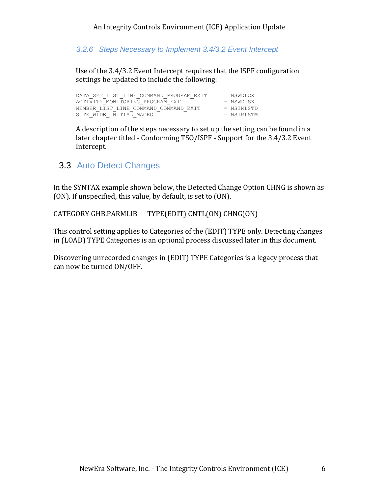*3.2.6 Steps Necessary to Implement 3.4/3.2 Event Intercept*

Use of the 3.4/3.2 Event Intercept requires that the ISPF configuration settings be updated to include the following:

| DATA SET LIST LINE COMMAND PROGRAM EXIT | $=$ NSWDLCX  |
|-----------------------------------------|--------------|
| ACTIVITY MONITORING PROGRAM EXIT        | $=$ NSWDUSX  |
| MEMBER LIST LINE COMMAND COMMAND EXIT   | $=$ NSTMLSTD |
| SITE WIDE INITIAL MACRO                 | $=$ NSTMLSTM |

A description of the steps necessary to set up the setting can be found in a later chapter titled - Conforming TSO/ISPF - Support for the 3.4/3.2 Event Intercept.

## 3.3 Auto Detect Changes

In the SYNTAX example shown below, the Detected Change Option CHNG is shown as (ON). If unspecified, this value, by default, is set to (ON).

CATEGORY GHB.PARMLIB TYPE(EDIT) CNTL(ON) CHNG(ON)

This control setting applies to Categories of the (EDIT) TYPE only. Detecting changes in (LOAD) TYPE Categories is an optional process discussed later in this document.

Discovering unrecorded changes in (EDIT) TYPE Categories is a legacy process that can now be turned ON/OFF.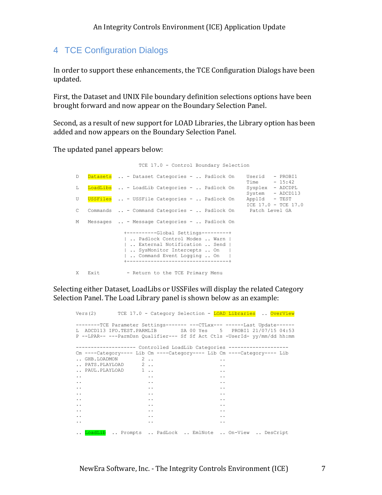## 4 TCE Configuration Dialogs

In order to support these enhancements, the TCE Configuration Dialogs have been updated.

First, the Dataset and UNIX File boundary definition selections options have been brought forward and now appear on the Boundary Selection Panel.

Second, as a result of new support for LOAD Libraries, the Library option has been added and now appears on the Boundary Selection Panel.

The updated panel appears below:

|              |        | TCE 17.0 - Control Boundary Selection                                                                                                                                                                                      |
|--------------|--------|----------------------------------------------------------------------------------------------------------------------------------------------------------------------------------------------------------------------------|
| D            |        | Datasets  - Dataset Categories -  Padlock On<br>Userid - PROBI1<br>$Time - 15:42$                                                                                                                                          |
| L            |        | LoadLibs  - LoadLib Categories -  Padlock On<br>Sysplex - ADCDPL<br>System - ADCD113                                                                                                                                       |
| U            |        | USSFiles  - USSFile Categories -  Padlock On<br>ApplId - TEST<br>ICE 17.0 - TCE 17.0                                                                                                                                       |
| $\mathbb{C}$ |        | Commands  - Command Categories -  Padlock On Patch Level GA                                                                                                                                                                |
|              |        | M Messages  - Message Categories -  Padlock On                                                                                                                                                                             |
|              |        | +----------Global Settings---------+<br>Padlock Control Modes  Warn  <br>External Notification  Send  <br>SysMonitor Intercepts  On<br>$\vert$ Command Event Logging  On $\vert$<br>+------------------------------------- |
|              | X Exit | - Return to the TCE Primary Menu                                                                                                                                                                                           |

Selecting either Dataset, LoadLibs or USSFiles will display the related Category Selection Panel. The Load Library panel is shown below as an example:

|                                                                                                                                                                                                                                                                                                                                                                                                                                                                                     |                                                                         | Vers(2) TCE 17.0 - Category Selection - LOAD Libraries  OverView                                                                                                                                                        |
|-------------------------------------------------------------------------------------------------------------------------------------------------------------------------------------------------------------------------------------------------------------------------------------------------------------------------------------------------------------------------------------------------------------------------------------------------------------------------------------|-------------------------------------------------------------------------|-------------------------------------------------------------------------------------------------------------------------------------------------------------------------------------------------------------------------|
|                                                                                                                                                                                                                                                                                                                                                                                                                                                                                     |                                                                         | -------TCE Parameter Settings------- --- CTLxx--- ------ Last Update------<br>L ADCD113 IFO.TEST.PARMLIB SA 00 Yes 5 PROBI1 21/07/15 04:53<br>P --LPAR-- ---ParmDsn Qualifier--- Sf Sf Act Ctls -UserId- yy/mm/dd hh:mm |
|                                                                                                                                                                                                                                                                                                                                                                                                                                                                                     | ------------------    Controlled LoadLib Categories ------------------- |                                                                                                                                                                                                                         |
|                                                                                                                                                                                                                                                                                                                                                                                                                                                                                     | Cm ----Category---- Lib Cm ----Category---- Lib Cm ----Category---- Lib |                                                                                                                                                                                                                         |
| $\ldots$ GHB. LOADMON $\qquad$ 2                                                                                                                                                                                                                                                                                                                                                                                                                                                    |                                                                         | $\ddot{\phantom{0}}$                                                                                                                                                                                                    |
| PATS. PLAYLOAD 2                                                                                                                                                                                                                                                                                                                                                                                                                                                                    |                                                                         | $\ddot{\phantom{0}}$                                                                                                                                                                                                    |
| $\ldots$ PAUL. PLAYLOAD $1 \ldots$                                                                                                                                                                                                                                                                                                                                                                                                                                                  |                                                                         | $\ddotsc$                                                                                                                                                                                                               |
| $\mathcal{L}(\mathcal{L}(\mathcal{L}(\mathcal{L}(\mathcal{L}(\mathcal{L}(\mathcal{L}(\mathcal{L}(\mathcal{L}(\mathcal{L}(\mathcal{L}(\mathcal{L}(\mathcal{L}(\mathcal{L}(\mathcal{L}(\mathcal{L}(\mathcal{L}(\mathcal{L}(\mathcal{L}(\mathcal{L}(\mathcal{L}(\mathcal{L}(\mathcal{L}(\mathcal{L}(\mathcal{L}(\mathcal{L}(\mathcal{L}(\mathcal{L}(\mathcal{L}(\mathcal{L}(\mathcal{L}(\mathcal{L}(\mathcal{L}(\mathcal{L}(\mathcal{L}(\mathcal{L}(\mathcal{$<br>$\ddot{\phantom{0}}$ |                                                                         | $\ddotsc$                                                                                                                                                                                                               |
| $\ddot{\phantom{0}}$<br>and the state of the state                                                                                                                                                                                                                                                                                                                                                                                                                                  |                                                                         | $\ddotsc$                                                                                                                                                                                                               |
| and the contract of the contract of<br>$\ddotsc$                                                                                                                                                                                                                                                                                                                                                                                                                                    |                                                                         | $\ddot{\phantom{0}}$                                                                                                                                                                                                    |
| $\ddotsc$<br>and the state of the state of the state of the state of the state of the state of the state of the state of the                                                                                                                                                                                                                                                                                                                                                        |                                                                         | $\ddotsc$                                                                                                                                                                                                               |
| and the contract of the contract of                                                                                                                                                                                                                                                                                                                                                                                                                                                 |                                                                         | $\ddot{\phantom{a}}$                                                                                                                                                                                                    |
| and the contract of the contract of<br>$\ddotsc$                                                                                                                                                                                                                                                                                                                                                                                                                                    |                                                                         | $\ddot{\phantom{a}}$                                                                                                                                                                                                    |
| and the state of the state<br>$\ddot{\phantom{0}}$                                                                                                                                                                                                                                                                                                                                                                                                                                  | and the contract of the                                                 |                                                                                                                                                                                                                         |
| and the contract of the con-                                                                                                                                                                                                                                                                                                                                                                                                                                                        |                                                                         | $\ddot{\phantom{0}}$                                                                                                                                                                                                    |
|                                                                                                                                                                                                                                                                                                                                                                                                                                                                                     | $\ddotsc$                                                               | $\ddot{\phantom{0}}$                                                                                                                                                                                                    |
|                                                                                                                                                                                                                                                                                                                                                                                                                                                                                     | LoadLib  Prompts  PadLock  EmlNote  On-View  DesCript                   |                                                                                                                                                                                                                         |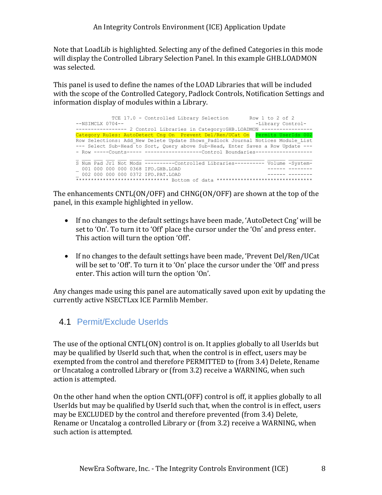Note that LoadLib is highlighted. Selecting any of the defined Categories in this mode will display the Controlled Library Selection Panel. In this example GHB.LOADMON was selected.

This panel is used to define the names of the LOAD Libraries that will be included with the scope of the Controlled Category, Padlock Controls, Notification Settings and information display of modules within a Library.

TCE 17.0 - Controlled Library Selection Row 1 to 2 of 2 --NSIMCLX 0704--<br>
-Library Control------------------ 2 Control Libraries in Category:GHB.LOADMON ----------------- Category Rules: AutoDetect Cng On Prevent Del/Ren/UCat On Permits UserIds 00 Row Selections: Add\_New Delete Update Shows\_Padlock Journal Notices Module\_List --- Select Sub-Head to Sort, Query above Sub-Head, Enter Saves a Row Update --- - Row -----Counts----- ---------------------Control Boundaries----------------S Num Pad Jrl Not Mods ----------Controlled Libraries---------- Volume -System- \_ 001 000 000 000 0368 IFO.GHB.LOAD ------ -------- \_ 002 000 000 000 0372 IFO.PAT.LOAD ------ -------- \*\*\*\*\*\*\*\*\*\*\*\*\*\*\*\*\*\*\*\*\*\*\*\*\*\*\*\*\*\*\* Bottom of data \*\*\*\*\*\*\*\*\*\*\*\*\*\*\*\*\*\*\*\*\*\*\*\*\*\*\*\*\*\*\*\*

The enhancements CNTL(ON/OFF) and CHNG(ON/OFF) are shown at the top of the panel, in this example highlighted in yellow.

- If no changes to the default settings have been made, 'AutoDetect Cng' will be set to 'On'. To turn it to 'Off' place the cursor under the 'On' and press enter. This action will turn the option 'Off'.
- If no changes to the default settings have been made, 'Prevent Del/Ren/UCat will be set to 'Off'. To turn it to 'On' place the cursor under the 'Off' and press enter. This action will turn the option 'On'.

Any changes made using this panel are automatically saved upon exit by updating the currently active NSECTLxx ICE Parmlib Member.

## 4.1 Permit/Exclude UserIds

The use of the optional CNTL(ON) control is on. It applies globally to all UserIds but may be qualified by UserId such that, when the control is in effect, users may be exempted from the control and therefore PERMITTED to (from 3.4) Delete, Rename or Uncatalog a controlled Library or (from 3.2) receive a WARNING, when such action is attempted.

On the other hand when the option CNTL(OFF) control is off, it applies globally to all UserIds but may be qualified by UserId such that, when the control is in effect, users may be EXCLUDED by the control and therefore prevented (from 3.4) Delete, Rename or Uncatalog a controlled Library or (from 3.2) receive a WARNING, when such action is attempted.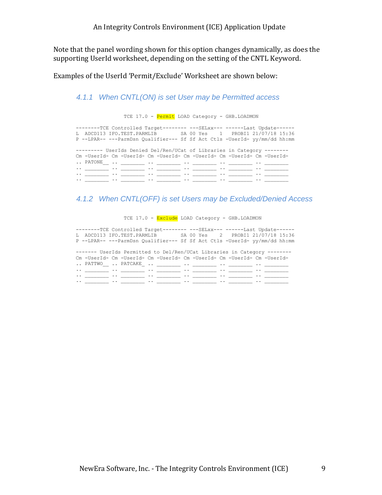Note that the panel wording shown for this option changes dynamically, as does the supporting UserId worksheet, depending on the setting of the CNTL Keyword.

Examples of the UserId 'Permit/Exclude' Worksheet are shown below:

#### *4.1.1 When CNTL(ON) is set User may be Permitted access*

TCE 17.0 - Permit LOAD Category - GHB. LOADMON

--------TCE Controlled Target-------- ---SELxx--- ------Last Update------ L ADCD113 IFO.TEST.PARMLIB SA 00 Yes 1 PROBI1 21/07/18 15:36 P --LPAR-- ---ParmDsn Qualifier--- Sf Sf Act Ctls -UserId- yy/mm/dd hh:mm --------- UserIds Denied Del/Ren/UCat of Libraries in Category -------- Cm -UserId- Cm -UserId- Cm -UserId- Cm -UserId- Cm -UserId- Cm -UserId- .. PATONE\_\_ .. \_\_\_\_\_\_\_\_ .. \_\_\_\_\_\_\_\_ .. \_\_\_\_\_\_\_\_ .. \_\_\_\_\_\_\_\_ .. \_\_\_\_\_\_\_\_ .. \_\_\_\_\_\_\_\_ .. \_\_\_\_\_\_\_\_ .. \_\_\_\_\_\_\_\_ .. \_\_\_\_\_\_\_\_ .. \_\_\_\_\_\_\_\_ .. \_\_\_\_\_\_\_\_ .. \_\_\_\_\_\_\_\_ .. \_\_\_\_\_\_\_\_ .. \_\_\_\_\_\_\_\_ .. \_\_\_\_\_\_\_\_ .. \_\_\_\_\_\_\_\_ .. \_\_\_\_\_\_\_\_ .. \_\_\_\_\_\_\_\_ .. \_\_\_\_\_\_\_\_ .. \_\_\_\_\_\_\_\_ .. \_\_\_\_\_\_\_\_ .. \_\_\_\_\_\_\_\_ .. \_\_\_\_\_\_\_\_

#### *4.1.2 When CNTL(OFF) is set Users may be Excluded/Denied Access*

TCE 17.0 - Exclude LOAD Category - GHB. LOADMON

--------TCE Controlled Target-------- ---SELxx--- ------Last Update------ L ADCD113 IFO.TEST.PARMLIB SA 00 Yes 2 PROBI1 21/07/18 15:36 P --LPAR-- ---ParmDsn Qualifier--- Sf Sf Act Ctls -UserId- yy/mm/dd hh:mm

------- UserIds Permitted to Del/Ren/UCat Libraries in Category -------- Cm -UserId- Cm -UserId- Cm -UserId- Cm -UserId- Cm -UserId- Cm -UserId- .. PATTWO\_\_ .. PATCAKE\_ .. \_\_\_\_\_\_\_\_ .. \_\_\_\_\_\_\_ .. \_\_\_\_\_\_ .. \_\_\_ .. \_\_\_\_\_\_\_\_ .. \_\_\_\_\_\_\_\_ .. \_\_\_\_\_\_\_\_ .. \_\_\_\_\_\_\_\_ .. \_\_\_\_\_\_\_\_ .. \_\_\_\_\_\_\_\_ .. \_\_\_\_\_\_\_\_ .. \_\_\_\_\_\_\_\_ .. \_\_\_\_\_\_\_\_ .. \_\_\_\_\_\_\_\_ .. \_\_\_\_\_\_\_\_ .. \_\_\_\_\_\_\_\_

 $\cdots$  \_\_\_\_\_ .. \_\_\_\_ .. \_\_\_\_ .. \_\_\_\_ .. \_\_\_\_ .. \_\_\_\_ .. \_\_\_\_ .. \_\_\_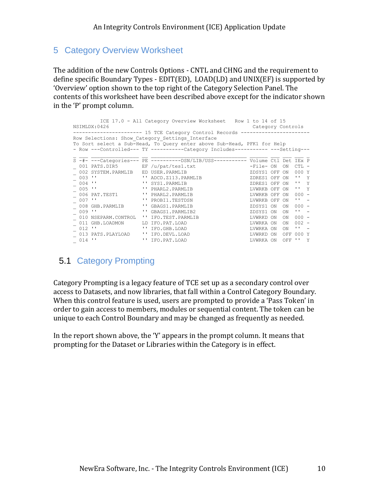## 5 Category Overview Worksheet

The addition of the new Controls Options - CNTL and CHNG and the requirement to define specific Boundary Types - EDIT(ED), LOAD(LD) and UNIX(EF) is supported by 'Overview' option shown to the top right of the Category Selection Panel. The contents of this worksheet have been described above except for the indicator shown in the 'P' prompt column.

| ICE 17.0 - All Category Overview Worksheet Row 1 to 14 of 15<br>NSIMLDX:0426<br>Category Controls |                                                              |  |                                                                                 |               |  |           |              |   |  |  |  |  |
|---------------------------------------------------------------------------------------------------|--------------------------------------------------------------|--|---------------------------------------------------------------------------------|---------------|--|-----------|--------------|---|--|--|--|--|
|                                                                                                   |                                                              |  |                                                                                 |               |  |           |              |   |  |  |  |  |
|                                                                                                   | ---------------- 15 TCE Category Control Records ----------- |  |                                                                                 |               |  |           |              |   |  |  |  |  |
|                                                                                                   |                                                              |  | Row Selections: Show Category Settings Interface                                |               |  |           |              |   |  |  |  |  |
|                                                                                                   |                                                              |  | To Sort select a Sub-Head, To Query enter above Sub-Head, PFK1 for Help         |               |  |           |              |   |  |  |  |  |
| - Row ---Controlled--- TY -----------Category Includes---------- ---Setting---                    |                                                              |  |                                                                                 |               |  |           |              |   |  |  |  |  |
|                                                                                                   |                                                              |  | S -#- ---Categories--- PE ----------DSN/LIB/USS----------- Volume Ctl Det IEx P |               |  |           |              |   |  |  |  |  |
|                                                                                                   | 001 PATS.DIR5 EF /u/pat/tes1.txt                             |  |                                                                                 | -File- ON     |  | ON        | CTL.         |   |  |  |  |  |
|                                                                                                   | 002 SYSTEM.PARMLIB                                           |  | ED USER.PARMLIB                                                                 | ZDSYS1 OFF    |  | ON        | 000 Y        |   |  |  |  |  |
|                                                                                                   | $003$ $''$                                                   |  | '' ADCD. Z113. PARMLIB                                                          | ZDRES1 OFF ON |  |           | п.           | Y |  |  |  |  |
|                                                                                                   | $004$ $''$                                                   |  | '' SYS1. PARMLIB                                                                | ZDRES1 OFF ON |  |           | $H = Y$      |   |  |  |  |  |
|                                                                                                   | $005$ $''$                                                   |  | '' PHARL2. PARMLIB                                                              | LVWRKB OFF    |  | ON        | $H = V$      |   |  |  |  |  |
|                                                                                                   |                                                              |  |                                                                                 |               |  |           |              |   |  |  |  |  |
|                                                                                                   | 006 PAT.TEST1                                                |  | '' PHARL2. PARMLIB                                                              | LVWRKB OFF    |  | ON        | $000 -$      |   |  |  |  |  |
|                                                                                                   | $007$ $''$                                                   |  | '' PROBI1.TESTDSN                                                               | LVWRKB OFF    |  | <b>ON</b> | п.           |   |  |  |  |  |
|                                                                                                   | 008 GHB.PARMLIB                                              |  | '' GBAGS1. PARMLIB                                                              | ZDSYS1 ON     |  | ON        | $000 -$      |   |  |  |  |  |
|                                                                                                   | $009$ $''$                                                   |  | '' GBAGS1. PARMLIB2                                                             | ZDSYS1 ON     |  | 0N        | $\mathbf{I}$ |   |  |  |  |  |
|                                                                                                   | 010 NSEPARM.CONTROL                                          |  | '' IFO.TEST.PARMLIB                                                             | LVWRKD ON     |  | ON        | $000 -$      |   |  |  |  |  |
|                                                                                                   | 011 GHB.LOADMON                                              |  | LD IFO.PAT.LOAD                                                                 | LVWRKA ON     |  | ON        | $002 -$      |   |  |  |  |  |
|                                                                                                   | $012$ $''$                                                   |  | '' IFO.GHB.LOAD                                                                 | LVWRKA ON     |  | ON        | $\mathbf{L}$ |   |  |  |  |  |
|                                                                                                   | 013 PATS.PLAYLOAD                                            |  | '' IFO.DEVL.LOAD                                                                | LVWRKD ON     |  | OFF       | 000 Y        |   |  |  |  |  |
|                                                                                                   | $014$ $''$                                                   |  | '' IFO.PAT.LOAD                                                                 | LVWRKA ON     |  | OFF       | $\mathbf{r}$ | Y |  |  |  |  |

## 5.1 Category Prompting

Category Prompting is a legacy feature of TCE set up as a secondary control over access to Datasets, and now libraries, that fall within a Control Category Boundary. When this control feature is used, users are prompted to provide a 'Pass Token' in order to gain access to members, modules or sequential content. The token can be unique to each Control Boundary and may be changed as frequently as needed.

In the report shown above, the 'Y' appears in the prompt column. It means that prompting for the Dataset or Libraries within the Category is in effect.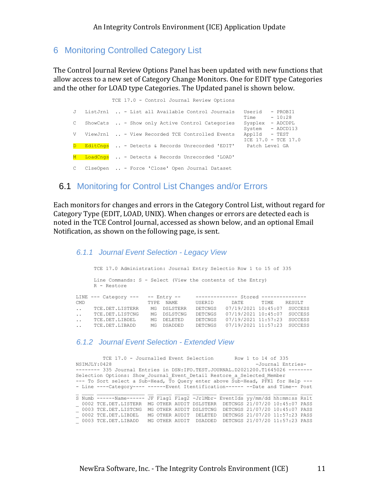### 6 Monitoring Controlled Category List

The Control Journal Review Options Panel has been updated with new functions that allow access to a new set of Category Change Monitors. One for EDIT type Categories and the other for LOAD type Categories. The Updated panel is shown below.

|              | TCE 17.0 - Control Journal Review Options                        |                                                          |
|--------------|------------------------------------------------------------------|----------------------------------------------------------|
|              | J ListJrnl  - List all Available Control Journals                | Userid - PROBI1<br>Time $-10:28$                         |
| $\mathbb{C}$ | ShowCats  - Show only Active Control Categories                  | Sysplex - ADCDPL                                         |
|              | V ViewJrnl  - View Recorded TCE Controlled Events                | System - ADCD113<br>ApplId - TEST<br>ICE 17.0 - TCE 17.0 |
|              | D EditCngs  - Detects & Records Unrecorded 'EDIT' Patch Level GA |                                                          |
|              | M LoadCngs  - Detects & Records Unrecorded 'LOAD'                |                                                          |
| $\mathbb{C}$ | ClseOpen  - Force 'Close' Open Journal Dataset                   |                                                          |

### 6.1 Monitoring for Control List Changes and/or Errors

Each monitors for changes and errors in the Category Control List, without regard for Category Type (EDIT, LOAD, UNIX). When changes or errors are detected each is noted in the TCE Control Journal, accessed as shown below, and an optional Email Notification, as shown on the following page, is sent.

*6.1.1 Journal Event Selection - Legacy View*

 TCE 17.0 Administration: Journal Entry Selectio Row 1 to 15 of 335 Line Commands: S - Select (View the contents of the Entry) R - Restore LINE --- Category --- -- Entry -- -------------- Stored ---------------CMD TYPE NAME USERID DATE TIME RESULT .. TCE.DET.LISTERR MG DSLSTERR DETCNGS 07/19/2021 10:45:07 SUCCESS .. TCE.DET.LISTCNG MG DSLSTCNG DETCNGS 07/19/2021 10:45:07 SUCCESS .. TCE.DET.LIBDEL MG DELETED DETCNGS 07/19/2021 11:57:23 SUCCESS .. TCE.DET.LIBADD MG DSADDED DETCNGS 07/19/2021 11:57:23 SUCCESS

#### *6.1.2 Journal Event Selection - Extended View*

|                                                                                 | TCE 17.0 - Journalled Event Selection                                           |  |                        |  |                         |  | Row 1 to 14 of 335             |                   |  |
|---------------------------------------------------------------------------------|---------------------------------------------------------------------------------|--|------------------------|--|-------------------------|--|--------------------------------|-------------------|--|
|                                                                                 | NSIMJLY:0428                                                                    |  |                        |  |                         |  |                                | -Journal Entries- |  |
| -------- 335 Journal Entries in DSN: IFO.TEST.JOURNAL.D2021200.T1645026 ------- |                                                                                 |  |                        |  |                         |  |                                |                   |  |
| Selection Options: Show Journal Event Detail Restore a Selected Member          |                                                                                 |  |                        |  |                         |  |                                |                   |  |
|                                                                                 | --- To Sort select a Sub-Head, To Query enter above Sub-Head, PFK1 for Help --- |  |                        |  |                         |  |                                |                   |  |
|                                                                                 | - Line ----Category---- ------Event Itentification------ --Date and Time-- Post |  |                        |  |                         |  |                                |                   |  |
|                                                                                 |                                                                                 |  |                        |  |                         |  |                                |                   |  |
|                                                                                 | S Numb ------Name------ JF Flag1 Flag2 -JrlMbr- EventIds yy/mm/dd hh:mm:ss Rslt |  |                        |  |                         |  |                                |                   |  |
|                                                                                 | 0002 TCE.DET.LISTERR MG OTHER AUDIT DSLSTERR DETCNGS 21/07/20 10:45:07 PASS     |  |                        |  |                         |  |                                |                   |  |
|                                                                                 | 0003 TCE.DET.LISTCNG                                                            |  |                        |  | MG OTHER AUDIT DSLSTCNG |  | DETCNGS 21/07/20 10:45:07 PASS |                   |  |
|                                                                                 | 0002 TCE.DET.LIBDEL                                                             |  |                        |  | MG OTHER AUDIT DELETED  |  | DETCNGS 21/07/20 11:57:23 PASS |                   |  |
|                                                                                 | 0003 TCE.DET.LIBADD                                                             |  | MG OTHER AUDIT DSADDED |  |                         |  | DETCNGS 21/07/20 11:57:23 PASS |                   |  |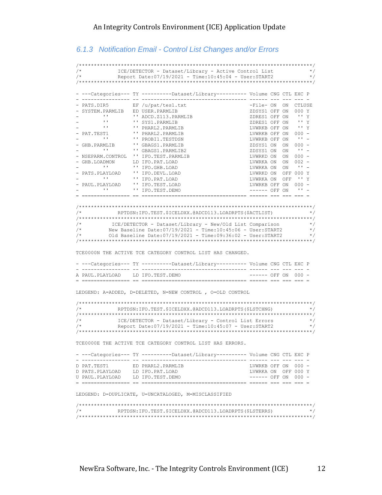#### *6.1.3 Notification Email - Control List Changes and/or Errors*

```
/******************************************************************************/
/* ICE/DETECTOR - Dataset/Library - Active Control List */
           \text{Report Date:} 07/19/2021 - \text{Time:} 10:45:04 - \text{User:START2}/******************************************************************************/
- ---Categories--- TY ----------Dataset/Library---------- Volume CNG CTL EXC P
- ---------------- -- ----------------------------------- ------ --- --- --- -
- PATS.DIR5 EF /u/pat/tes1.txt
- SYSTEM.PARMLIB ED USER.PARMLIB
       - '' ADCD.Z113.PARMLIB<br>- '' SYS1.PARMLIB
- '' '' SYS1.PARMLIB ZDRES1 OFF ON '' Y
- '' '' PHARL2.PARMLIB LVWRKB OFF ON '' Y
- PAT.TEST1 \blacksquare PHARL2.PARMLIB LVWRKB OFF ON 000 -
- '' '' PROBI1.TESTDSN LVWRKB OFF ON '' -
- GHB.PARMLIB '' GBAGS1.PARMLIB \overline{Z}DSYS1 ON ON 000 -
- '' '' GBAGS1.PARMLIB2 ZDSYS1 ON ON '' -
- NSEPARM.CONTROL '' IFO.TEST.PARMLIB
- GHB.LOADMON LD IFO.PAT.LOAD - LOAD CHB.LOAD CHB.LOAD
       - THE MANUAL ENGINEES AND CONSULTED THE CONDUCT ON THE CONDUCT ON A THEORY CONDUCT ON A THEORY CONDUCT ON A THEORY CONDUCT ON A THEORY ON CONTROL TO A THEORY CONDUCT ON A THEORY ON A THEORY OF ON A THEORY OF ON A THEORY CO
- PATS.PLAYLOAD '' IFO.DEVL.LOAD
- '' '' IFO.PAT.LOAD LVWRKA ON OFF '' Y
- PAUL.PLAYLOAD '' IFO.TEST.LOAD LVWRKB OFF ON 000 -
- '' '' IFO.TEST.DEMO ------ OFF ON '' -
= ================ == =================================== ====== === === === =
/******************************************************************************/
     /* RPTDSN:IFO.TEST.$ICELDXX.@ADCD113.LOADRPTS($ACTLIST) */
/******************************************************************************/
/* ICE/DETECTOR - Dataset/Library - New/Old List Comparison */
/* New Baseline Date:07/19/2021 - Time:10:45:06 - User:START2 */
/* Old Baseline Date:07/19/2021 - Time:09:36:02 - User:START2 */
/******************************************************************************/
TCE0000N THE ACTIVE TCE CATEGORY CONTROL LIST HAS CHANGED.
- ---Categories--- TY ----------Dataset/Library---------- Volume CNG CTL EXC P
- ---------------- -- ----------------------------------- ------ --- --- --- -
A PAUL.PLAYLOAD LD IFO.TEST.DEMO ------ OFF ON 000 -
= ================ == =================================== ====== === === === =
LEDGEND: A=ADDED, D=DELETED, N=NEW CONTROL , O=OLD CONTROL
/******************************************************************************/
           RPTDSN:IFO.TEST.$ICELDXX.@ADCD113.LOADRPTS($LSTCHNG)
/******************************************************************************/
/* ICE/DETECTOR - Dataset/Library - Control List Errors */
            Report Date:07/19/2021 - Time:10:45:07 - User:START2
/******************************************************************************/
TCE0000E THE ACTIVE TCE CATEGORY CONTROL LIST HAS ERRORS.
- ---Categories--- TY ----------Dataset/Library---------- Volume CNG CTL EXC P
- ---------------- -- ----------------------------------- ------ --- --- --- -
D PAT.TEST1 ED PHARL2.PARMLIB LVWRKB OFF ON 000 -
D PATS.PLAYLOAD LD IFO.PAT.LOAD LVWRKA ON OFF 000 Y
U PAUL.PLAYLOAD LD IFO.TEST.DEMO ------ OFF ON 000 -
  = ================ == =================================== ====== === === === =
LEDGEND: D=DUPLICATE, U=UNCATALOGED, M=MISCLASSIFIED
/******************************************************************************/
/* RPTDSN:IFO.TEST.$ICELDXX.@ADCD113.LOADRPTS($LSTERRS) */
/******************************************************************************/
```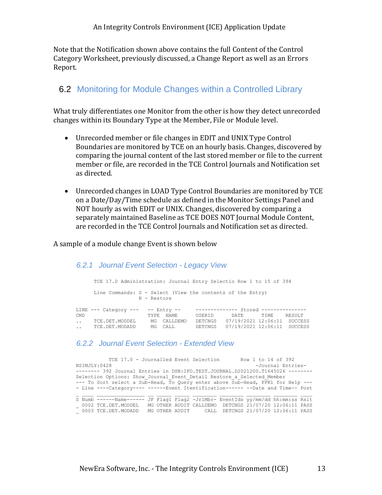Note that the Notification shown above contains the full Content of the Control Category Worksheet, previously discussed, a Change Report as well as an Errors Report.

### 6.2 Monitoring for Module Changes within a Controlled Library

What truly differentiates one Monitor from the other is how they detect unrecorded changes within its Boundary Type at the Member, File or Module level.

- Unrecorded member or file changes in EDIT and UNIX Type Control Boundaries are monitored by TCE on an hourly basis. Changes, discovered by comparing the journal content of the last stored member or file to the current member or file, are recorded in the TCE Control Journals and Notification set as directed.
- Unrecorded changes in LOAD Type Control Boundaries are monitored by TCE on a Date/Day/Time schedule as defined in the Monitor Settings Panel and NOT hourly as with EDIT or UNIX. Changes, discovered by comparing a separately maintained Baseline as TCE DOES NOT Journal Module Content, are recorded in the TCE Control Journals and Notification set as directed.

A sample of a module change Event is shown below

#### *6.2.1 Journal Event Selection - Legacy View*

|           | TCE 17.0 Administration: Journal Entry Selectio Row 1 to 15 of 394 |                |                                       |                             |       |        |
|-----------|--------------------------------------------------------------------|----------------|---------------------------------------|-----------------------------|-------|--------|
|           | Line Commands: S - Select (View the contents of the Entry)         | R - Restore    |                                       |                             |       |        |
|           | LINE $---$ Category $-- ---$ Entry $---$                           |                | -------------- Stored --------------- |                             |       |        |
| CMD.      |                                                                    | NAMF.<br>TYPR. | USERID                                | DATE.                       | TTME. | RESULT |
| $\ddotsc$ | TCE.DET.MODDEL                                                     | CALLDEMO<br>MG | DETCNGS                               | 07/19/2021 12:06:11 SUCCESS |       |        |
| $\ddotsc$ | TCE.DET.MODADD                                                     | MG CALL        | DETCNGS                               | 07/19/2021 12:06:11 SUCCESS |       |        |

#### *6.2.2 Journal Event Selection - Extended View*

| TCE 17.0 - Journalled Event Selection<br>Row 1 to 14 of 392                     |                   |  |  |  |  |  |  |  |  |
|---------------------------------------------------------------------------------|-------------------|--|--|--|--|--|--|--|--|
| NSIMJLY: 0428                                                                   | -Journal Entries- |  |  |  |  |  |  |  |  |
| -------- 392 Journal Entries in DSN: IFO.TEST.JOURNAL.D2021200.T1645026 ------- |                   |  |  |  |  |  |  |  |  |
| Selection Options: Show Journal Event Detail Restore a Selected Member          |                   |  |  |  |  |  |  |  |  |
| --- To Sort select a Sub-Head, To Query enter above Sub-Head, PFK1 for Help --- |                   |  |  |  |  |  |  |  |  |
| - Line ----Category---- ------Event Itentification------ --Date and Time-- Post |                   |  |  |  |  |  |  |  |  |
|                                                                                 |                   |  |  |  |  |  |  |  |  |
| S Numb ------Name------ JF Flaq1 Flaq2 -JrlMbr- EventIds yy/mm/dd hh:mm:ss Rslt |                   |  |  |  |  |  |  |  |  |
| $-$ 0002 TCE.DET.MODDEL MG OTHER AUDIT CALLDEMO DETCNGS 21/07/20 12:06:11 PASS  |                   |  |  |  |  |  |  |  |  |
| 0003 TCE.DET.MODADD MG OTHER AUDIT CALL DETCNGS 21/07/20 12:06:11 PASS          |                   |  |  |  |  |  |  |  |  |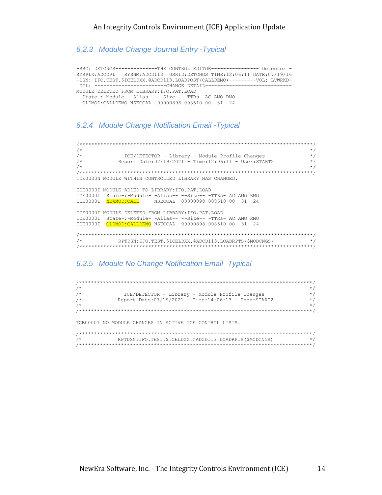*6.2.3 Module Change Journal Entry -Typical*

```
-SRC: DETCNGS--------------THE CONTROL EDITOR---------------- Detector -
SYSPLX:ADCDPL SYSNM:ADCD113 USRID:DETCNGS TIME:12:06:11 DATE:07/19/16
-DSN: IFO.TEST.$ICELDXX.@ADCD113.LOADPOST(CALLDEMO)---------VOL: LVWRKD-
|DTL: ------------------------CHANGE DETAIL-----------------------------
MODULE DELETED FROM LIBRARY:IFO.PAT.LOAD
  State-:-Module- -Alias-- --Size-- -TTRs- AC AMO RMO
   OLDMOD:CALLDEMO NSECCAL 00000898 008510 00 31 24
```
#### *6.2.4 Module Change Notification Email -Typical*

```
/******************************************************************************/
\frac{1}{\sqrt{2}} *
/* ICE/DETECTOR - Library - Module Profile Changes */
/* Report Date:07/19/2021 - Time:12:06:11 - User:START2 */
\frac{1}{\sqrt{2}} \frac{1}{\sqrt{2}} \frac{1}{\sqrt{2}} \frac{1}{\sqrt{2}} \frac{1}{\sqrt{2}} \frac{1}{\sqrt{2}} \frac{1}{\sqrt{2}} \frac{1}{\sqrt{2}} \frac{1}{\sqrt{2}} \frac{1}{\sqrt{2}} \frac{1}{\sqrt{2}} \frac{1}{\sqrt{2}} \frac{1}{\sqrt{2}} \frac{1}{\sqrt{2}} \frac{1}{\sqrt{2}} \frac{1}{\sqrt{2}} \frac{1}{\sqrt{2}} 
/******************************************************************************/
TCE0000N MODULE WITHIN CONTROLLED LIBRARY HAS CHANGED.
\vertICE0000I MODULE ADDED TO LIBRARY:IFO.PAT.LOAD
ICE0000I State-:-Module- -Alias-- --Size-- -TTRs- AC AMO RMO
ICE0000I NEWMOD:CALL NSECCAL 00000898 008510 00 31 24
|
ICE0000I MODULE DELETED FROM LIBRARY:IFO.PAT.LOAD
ICE0000I State-:-Module- -Alias-- --Size-- -TTRs- AC AMO RMO
ICE0000I OLDMOD:CALLDEMO NSECCAL 00000898 008510 00 31 24
/******************************************************************************/
/* RPTDSN:IFO.TEST.$ICELDXX.@ADCD113.LOADRPTS($MODCNGS) */
/******************************************************************************/
```
#### *6.2.5 Module No Change Notification Email -Typical*

| $/$ *<br>$\star$ /                                                               |
|----------------------------------------------------------------------------------|
| $/$ *<br>ICE/DETECTOR - Library - Module Profile Changes<br>$\star$ /            |
| $/$ *<br>Report Date: 07/19/2021 - Time: 14:06:13 - User: START2<br>$\star$ /    |
| $/$ *<br>$\star$ /                                                               |
|                                                                                  |
| TCE0000I NO MODULE CHANGES IN ACTIVE TCE CONTROL LISTS.                          |
|                                                                                  |
| $/$ *<br>RPTDSN: IFO.TEST. \$ICELDXX. @ADCD113.LOADRPTS (\$MODCNGS)<br>$\star$ / |

/\*\*\*\*\*\*\*\*\*\*\*\*\*\*\*\*\*\*\*\*\*\*\*\*\*\*\*\*\*\*\*\*\*\*\*\*\*\*\*\*\*\*\*\*\*\*\*\*\*\*\*\*\*\*\*\*\*\*\*\*\*\*\*\*\*\*\*\*\*\*\*\*\*\*\*\*\*\*/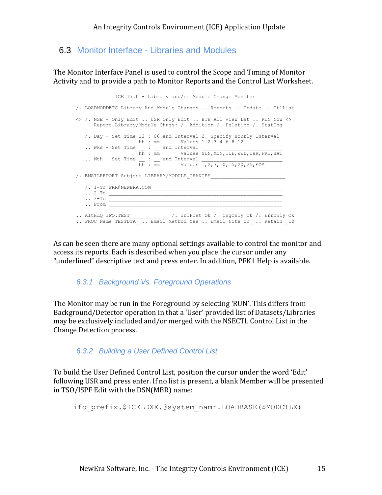### 6.3 Monitor Interface - Libraries and Modules

The Monitor Interface Panel is used to control the Scope and Timing of Monitor Activity and to provide a path to Monitor Reports and the Control List Worksheet.

 ICE 17.0 - Library and/or Module Change Monitor /. LOADMODDETC Library And Module Changes .. Reports .. Update .. CtlList <> /. NSE - Only Edit .. USR Only Edit .. BTH All View Lst .. RUN Now <> Report Library/Module Chngs: /. Addition /. Deletion /. StatCng /. Day - Set Time 12 : 06 and Interval 2\_ Specify Hourly Interval hh : mm Values 1|2|3|4|6|8|12 .. Wks - Set Time \_\_ : \_\_ and Interval \_\_\_\_\_\_\_\_\_\_\_\_\_\_\_\_\_\_\_\_\_\_\_\_\_\_\_ hh : mm Values SUN,MON,TUE,WED,THR,FRI,SAT .. Mth - Set Time \_\_ : \_\_ and Interval \_\_\_\_\_\_\_\_\_\_\_\_\_\_\_\_\_\_\_\_\_\_\_\_\_\_\_ hh : mm Values 1,2,3,10,15,20,25,EOM /. EMAILREPORT Subject LIBRARY/MODULE\_CHANGES\_\_\_\_\_\_\_\_\_\_\_\_\_\_\_\_\_\_\_\_\_\_\_\_\_  $/$ . 1-To PRR@NEWERA.COM  $\cdots$  2-To  $\_{\_}$  $\blacksquare$ . 3-To . From  $\blacksquare$ .. AltHLQ IFO.TEST  $\hspace{1cm}$  /. JrlPost Ok /. CngOnly Ok /. ErrOnly Ok .. PROC Name TESTDTA .. Email Method Yes .. Email Note On .. Retain 10

As can be seen there are many optional settings available to control the monitor and access its reports. Each is described when you place the cursor under any "underlined" descriptive text and press enter. In addition, PFK1 Help is available.

#### *6.3.1 Background Vs. Foreground Operations*

The Monitor may be run in the Foreground by selecting 'RUN'. This differs from Background/Detector operation in that a 'User' provided list of Datasets/Libraries may be exclusively included and/or merged with the NSECTL Control List in the Change Detection process.

#### *6.3.2 Building a User Defined Control List*

To build the User Defined Control List, position the cursor under the word 'Edit' following USR and press enter. If no list is present, a blank Member will be presented in TSO/ISPF Edit with the DSN(MBR) name:

ifo\_prefix.\$ICELDXX.@system\_namr.LOADBASE(\$MODCTLX)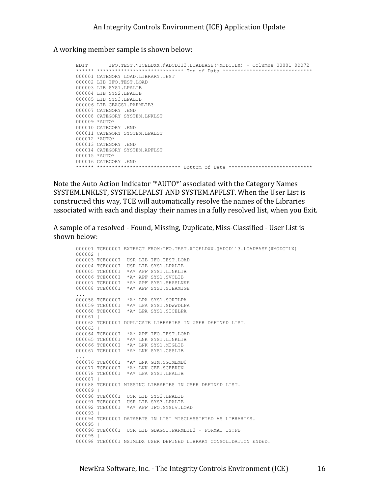A working member sample is shown below:

```
EDIT IFO.TEST.$ICELDXX.@ADCD113.LOADBASE($MODCTLX) - Columns 00001 00072
****** ***************************** Top of Data ******************************
000001 CATEGORY LOAD.LIBRARY.TEST
000002 LIB IFO.TEST.LOAD
000003 LIB SYS1.LPALIB
000004 LIB SYS2.LPALIB
000005 LIB SYS3.LPALIB
000006 LIB GBAGS1.PARMLIB3
000007 CATEGORY .END
000008 CATEGORY SYSTEM.LNKLST
000009 *AUTO*
000010 CATEGORY .END
000011 CATEGORY SYSTEM.LPALST
000012 *AUTO*
000013 CATEGORY .END
000014 CATEGORY SYSTEM.APFLST
000015 *AUTO*
000016 CATEGORY .END
****** **************************** Bottom of Data ****************************
```
Note the Auto Action Indicator '\*AUTO\*' associated with the Category Names SYSTEM.LNKLST, SYSTEM.LPALST AND SYSTEM.APFLST. When the User List is constructed this way, TCE will automatically resolve the names of the Libraries associated with each and display their names in a fully resolved list, when you Exit.

A sample of a resolved - Found, Missing, Duplicate, Miss-Classified - User List is shown below:

```
000001 TCE0000I EXTRACT FROM:IFO.TEST.$ICELDXX.@ADCD113.LOADBASE($MODCTLX)
000002 |
000003 TCE0000I USR LIB IFO.TEST.LOAD
000004 TCE0000I USR LIB SYS1.LPALIB
000005 TCE0000I *A* APF SYS1.LINKLIB
000006 TCE0000I *A* APF SYS1.SVCLIB
000007 TCE0000I *A* APF SYS1.SHASLNKE
000008 TCE0000I *A* APF SYS1.SIEAMIGE
...
000058 TCE0000I *A* LPA SYS1.SORTLPA
000059 TCE0000I *A* LPA SYS1.SDWWDLPA
000060 TCE0000I *A* LPA SYS1.SICELPA
000061 |
000062 TCE0000I DUPLICATE LIBRARIES IN USER DEFINED LIST.
000063 |
000064 TCE0000I *A* APF IFO.TEST.LOAD
000065 TCE0000I *A* LNK SYS1.LINKLIB
000066 TCE0000I *A* LNK SYS1.MIGLIB
000067 TCE0000I *A* LNK SYS1.CSSLIB
...
000076 TCE0000I *A* LNK GIM.SGIMLMD0
000077 TCE0000I *A* LNK CEE.SCEERUN
000078 TCE0000I *A* LPA SYS1.LPALIB
000087 |
000088 TCE0000I MISSING LIBRARIES IN USER DEFINED LIST.
000089 |
000090 TCE0000I USR LIB SYS2.LPALIB
000091 TCE0000I USR LIB SYS3.LPALIB
000092 TCE0000I *A* APF IFO.SYSUV.LOAD
000093 |
000094 TCE0000I DATASETS IN LIST MISCLASSIFIED AS LIBRARIES.
000095 |
000096 TCE0000I USR LIB GBAGS1.PARMLIB3 - FORMAT IS:FB
000095 |
000098 TCE0000I NSIMLDX USER DEFINED LIBRARY CONSOLIDATION ENDED.
```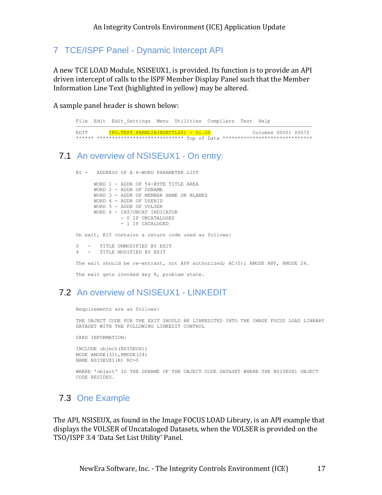7 TCE/ISPF Panel - Dynamic Intercept API

A new TCE LOAD Module, NSISEUX1, is provided. Its function is to provide an API driven intercept of calls to the ISPF Member Display Panel such that the Member Information Line Text (highlighted in yellow) may be altered.

A sample panel header is shown below:

|                | File Edit Edit Settings Menu Utilities Compilers Test Help                    |  |  |  |                     |
|----------------|-------------------------------------------------------------------------------|--|--|--|---------------------|
| <b>F.D.T.T</b> | $IFO. TEST. PARMLIB (NSECTL00) - 01.00$                                       |  |  |  | Columns 00001 00072 |
|                | ****** *************************** Top of Data ****************************** |  |  |  |                     |

## 7.1 An overview of NSISEUX1 - On entry:

R1 - ADDRESS OF A 6-WORD PARAMETER LIST

 WORD 1 - ADDR OF 54-BYTE TITLE AREA WORD 2 - ADDR OF DSNAME WORD 3 - ADDR OF MEMBER NAME OR BLANKS WORD 4 - ADDR OF USERID WORD 5 - ADDR OF VOLSER WORD 6 - CAT/UNCAT INDICATOR - 0 IF UNCATALOGED - 1 IF CATALOGED On exit, R15 contains a return code used as follows: 0 - TITLE UNMODIFIED BY EXIT 4 - TITLE MODIFIED BY EXIT The exit should be re-entrant, not APF authorized; AC(0); AMODE ANY, RMODE 24. The exit gets invoked key 8, problem state.

## 7.2 An overview of NSISEUX1 - LINKEDIT

Requirements are as follows:

THE OBJECT CODE FOR THE EXIT SHOULD BE LINKEDITED INTO THE IMAGE FOCUS LOAD LIBRARY DATASET WITH THE FOLLOWING LINKEDIT CONTROL

CARD INFORMATION:

```
INCLUDE object(NSISEUX1) 
MODE AMODE(31),RMODE(24) 
NAME NSISEUX1(R) RC=0
```
WHERE 'object' IS THE DDNAME OF THE OBJECT CODE DATASET WHERE THE NSISEUX1 OBJECT CODE RESIDES.

## 7.3 One Example

The API, NSISEUX, as found in the Image FOCUS LOAD Library, is an API example that displays the VOLSER of Uncataloged Datasets, when the VOLSER is provided on the TSO/ISPF 3.4 'Data Set List Utility' Panel.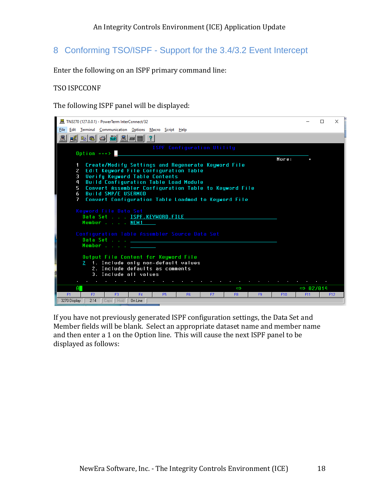## 8 Conforming TSO/ISPF - Support for the 3.4/3.2 Event Intercept

Enter the following on an ISPF primary command line:

#### TSO ISPCCONF

The following ISPF panel will be displayed:



If you have not previously generated ISPF configuration settings, the Data Set and Member fields will be blank. Select an appropriate dataset name and member name and then enter a 1 on the Option line. This will cause the next ISPF panel to be displayed as follows: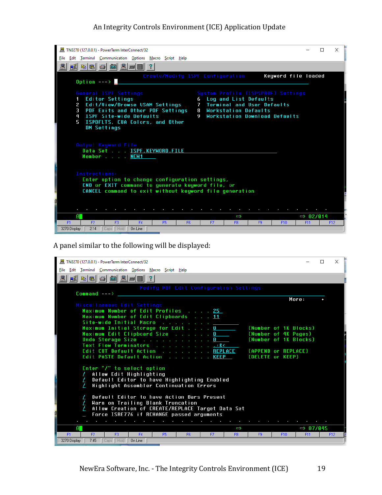#### An Integrity Controls Environment (ICE) Application Update



A panel similar to the following will be displayed:

| 图 TN3270 (127.0.0.1) - PowerTerm InterConnect/32                                                                                                                                                                                                                                                                                                                                                                                                                                                                   |                        |                 | $\times$ |
|--------------------------------------------------------------------------------------------------------------------------------------------------------------------------------------------------------------------------------------------------------------------------------------------------------------------------------------------------------------------------------------------------------------------------------------------------------------------------------------------------------------------|------------------------|-----------------|----------|
| File Edit Terminal Communication Options Macro Script Help                                                                                                                                                                                                                                                                                                                                                                                                                                                         |                        |                 |          |
| <u> Kaccela (Ale</u><br>昷<br>$\overline{?}$                                                                                                                                                                                                                                                                                                                                                                                                                                                                        |                        |                 |          |
| Modify PDF Edit Configuration Settings                                                                                                                                                                                                                                                                                                                                                                                                                                                                             |                        |                 |          |
| $Commonand == >$                                                                                                                                                                                                                                                                                                                                                                                                                                                                                                   | More:                  |                 |          |
| Miscellaneous Edit Settings                                                                                                                                                                                                                                                                                                                                                                                                                                                                                        |                        |                 |          |
| Maximum Number of Edit Profiles 25                                                                                                                                                                                                                                                                                                                                                                                                                                                                                 |                        |                 |          |
| Maximum Number of Edit Clipboards 11                                                                                                                                                                                                                                                                                                                                                                                                                                                                               |                        |                 |          |
| Site-wide Initial Macro<br>Maximum Initial Storage for Edit 0                                                                                                                                                                                                                                                                                                                                                                                                                                                      | (Number of 1K Blocks)  |                 |          |
| Maximum Edit Clipboard Size 0<br>(Number of 4K Pages)                                                                                                                                                                                                                                                                                                                                                                                                                                                              |                        |                 |          |
| Undo Storage Size $\ldots$ 0                                                                                                                                                                                                                                                                                                                                                                                                                                                                                       | (Number of 1K Blocks)  |                 |          |
| Text Flow Terminators 18<                                                                                                                                                                                                                                                                                                                                                                                                                                                                                          |                        |                 |          |
| Edit CUT Default Action REPLACE<br>(APPEND or REPLACE)<br>Edit PASTE Default Action KEEP<br>(DELETE or KEEP)                                                                                                                                                                                                                                                                                                                                                                                                       |                        |                 |          |
|                                                                                                                                                                                                                                                                                                                                                                                                                                                                                                                    |                        |                 |          |
| Enter "/" to select option                                                                                                                                                                                                                                                                                                                                                                                                                                                                                         |                        |                 |          |
| Allow Edit Highlighting                                                                                                                                                                                                                                                                                                                                                                                                                                                                                            |                        |                 |          |
| Default Editor to have Highlighting Enabled<br>$\prime$<br>Highlight Assembler Continuation Errors                                                                                                                                                                                                                                                                                                                                                                                                                 |                        |                 |          |
|                                                                                                                                                                                                                                                                                                                                                                                                                                                                                                                    |                        |                 |          |
| Default Editor to have Action Bars Present                                                                                                                                                                                                                                                                                                                                                                                                                                                                         |                        |                 |          |
| Warn on Trailing Blank Truncation                                                                                                                                                                                                                                                                                                                                                                                                                                                                                  |                        |                 |          |
| Allow Creation of CREATE/REPLACE Target Data Set                                                                                                                                                                                                                                                                                                                                                                                                                                                                   |                        |                 |          |
| Force ISRE776 if RCHANGE passed arguments                                                                                                                                                                                                                                                                                                                                                                                                                                                                          |                        |                 |          |
| A.<br>$\Rightarrow$                                                                                                                                                                                                                                                                                                                                                                                                                                                                                                | $\Rightarrow 07/045$   |                 |          |
| F2<br>F3<br>F4<br>F <sub>5</sub><br>F <sub>1</sub><br>F <sub>6</sub><br>F7<br>F8<br>F9                                                                                                                                                                                                                                                                                                                                                                                                                             | F11<br>F <sub>10</sub> | F <sub>12</sub> |          |
| $\overline{\phantom{a}}$ $\overline{\phantom{a}}$ $\overline{\phantom{a}}$ $\overline{\phantom{a}}$ $\overline{\phantom{a}}$ $\overline{\phantom{a}}$ $\overline{\phantom{a}}$ $\overline{\phantom{a}}$ $\overline{\phantom{a}}$ $\overline{\phantom{a}}$ $\overline{\phantom{a}}$ $\overline{\phantom{a}}$ $\overline{\phantom{a}}$ $\overline{\phantom{a}}$ $\overline{\phantom{a}}$ $\overline{\phantom{a}}$ $\overline{\phantom{a}}$ $\overline{\phantom{a}}$ $\overline{\$<br>3270 Display<br>7:45<br>On Line |                        |                 |          |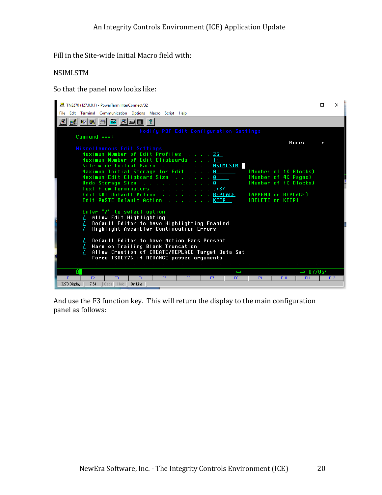Fill in the Site-wide Initial Macro field with:

#### NSIMLSTM

So that the panel now looks like:



And use the F3 function key. This will return the display to the main configuration panel as follows: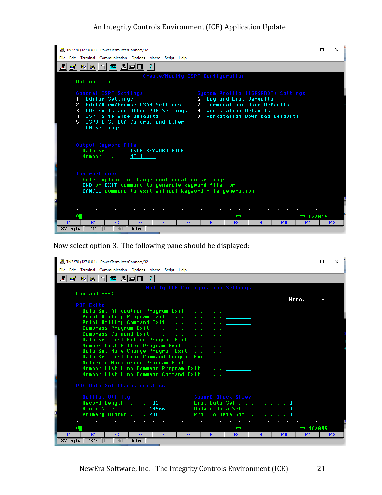#### An Integrity Controls Environment (ICE) Application Update



Now select option 3. The following pane should be displayed:

| 图 TN3270 (127.0.0.1) - PowerTerm InterConnect/32                                                   |       |                      | $\times$ |
|----------------------------------------------------------------------------------------------------|-------|----------------------|----------|
| Edit Terminal Communication Options Macro Script Help<br>File                                      |       |                      |          |
| <i>N</i> b (8 c c c <u>1</u> c <u>2</u> c iii ) ?                                                  |       |                      |          |
| Modify PDF Configuration Settings<br>$Commonand == >$                                              |       |                      |          |
|                                                                                                    | More: |                      |          |
| PDF Exits                                                                                          |       |                      |          |
| Data Set Allocation Program Exit <u>_______</u>                                                    |       |                      |          |
| Print Utility Program Exit <u>.</u>                                                                |       |                      |          |
| Print Utility Command Exit <u>.</u>                                                                |       |                      |          |
| Compress Program Exit <u>.</u>                                                                     |       |                      |          |
| Compress Command Exit <u>.</u><br>Data Set List Filter Program Exit <u>______</u>                  |       |                      |          |
| Member List Filter Program Exit <u>.</u>                                                           |       |                      |          |
| Data Set Name Change Program Exit _______                                                          |       |                      |          |
| Data Set List Line Command Program Exit _______                                                    |       |                      |          |
| Activity Monitoring Program Exit <u>______</u>                                                     |       |                      |          |
| Member List Line Command Program Exit <u>Incomena</u>                                              |       |                      |          |
| Member List Line Command Command Exit                                                              |       |                      |          |
| PDF Data Set Characteristics                                                                       |       |                      |          |
| Outlist Utilitu<br>SuperC Block Sizes                                                              |       |                      |          |
| Record Length 133<br>List Data Set 0                                                               |       |                      |          |
| Block Size 13566<br>Update Data Set 0                                                              |       |                      |          |
| Primary Blocks 200<br>Profile Data Set                                                             |       |                      |          |
|                                                                                                    |       |                      |          |
| $\mathbf{a}$ .<br>$\Rightarrow$                                                                    |       | $\Rightarrow$ 16/049 |          |
| F2<br>F3<br>F4<br>F1<br>F <sub>5</sub><br>F <sub>6</sub><br>F7<br>F <sub>8</sub><br>F <sub>9</sub> | F10   | F11                  | F12      |
| On Line<br>3270 Display<br>16:49<br>Caps Hold                                                      |       |                      |          |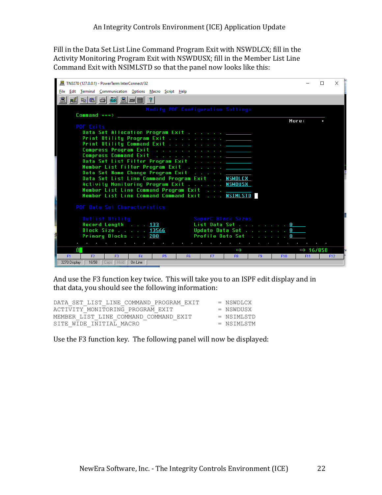Fill in the Data Set List Line Command Program Exit with NSWDLCX; fill in the Activity Monitoring Program Exit with NSWDUSX; fill in the Member List Line Command Exit with NSIMLSTD so that the panel now looks like this:



And use the F3 function key twice. This will take you to an ISPF edit display and in that data, you should see the following information:

| DATA SET LIST LINE COMMAND PROGRAM EXIT | = NSWDLCX    |
|-----------------------------------------|--------------|
| ACTIVITY MONITORING PROGRAM EXIT        | $=$ NSWDUSX  |
| MEMBER LIST LINE COMMAND COMMAND EXIT   | $=$ NSTMLSTD |
| SITE WIDE INITIAL MACRO                 | $=$ NSTMLSTM |

Use the F3 function key. The following panel will now be displayed: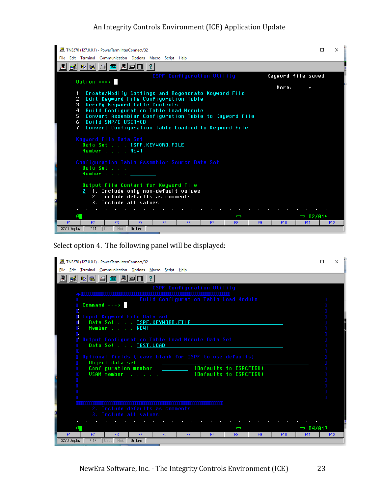#### An Integrity Controls Environment (ICE) Application Update



Select option 4. The following panel will be displayed:

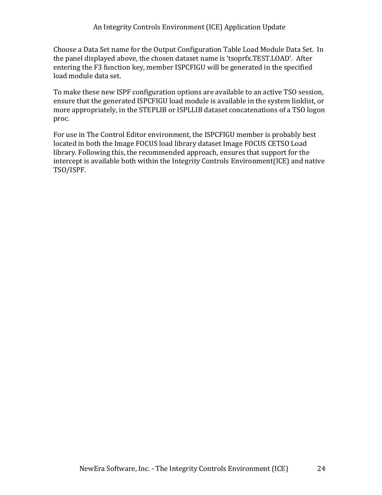Choose a Data Set name for the Output Configuration Table Load Module Data Set. In the panel displayed above, the chosen dataset name is 'tsoprfx.TEST.LOAD'. After entering the F3 function key, member ISPCFIGU will be generated in the specified load module data set.

To make these new ISPF configuration options are available to an active TSO session, ensure that the generated ISPCFIGU load module is available in the system linklist, or more appropriately, in the STEPLIB or ISPLLIB dataset concatenations of a TSO logon proc.

For use in The Control Editor environment, the ISPCFIGU member is probably best located in both the Image FOCUS load library dataset Image FOCUS CETSO Load library. Following this, the recommended approach, ensures that support for the intercept is available both within the Integrity Controls Environment(ICE) and native TSO/ISPF.